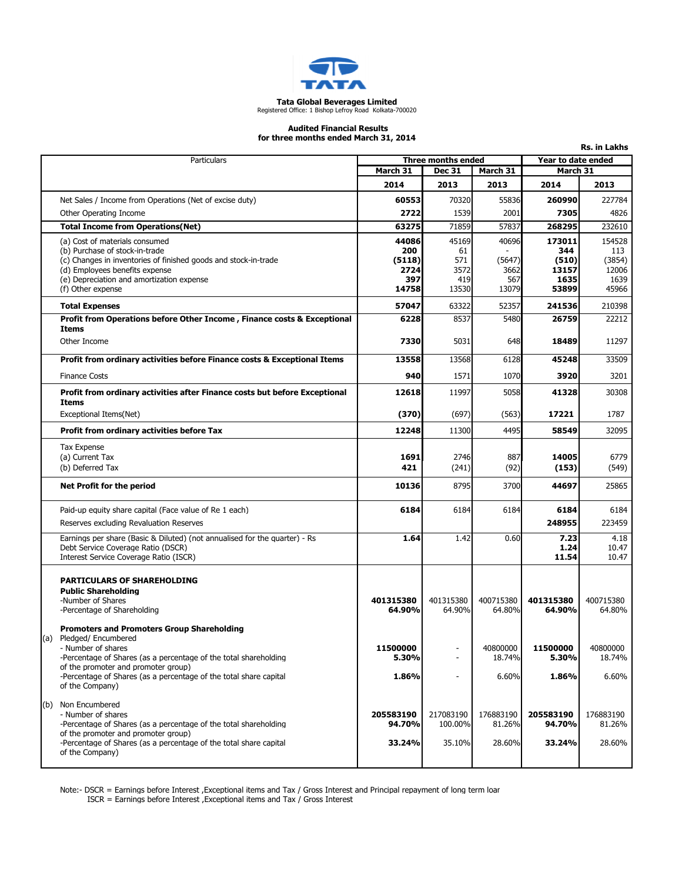

# Tata Global Beverages Limited Registered Office: 1 Bishop Lefroy Road Kolkata-700020

#### Audited Financial Results

Rs. in Lakhs

for three months ended March 31, 2014

|     | Particulars                                                                                                                 | Three months ended                    |                     | Year to date ended  |                     |                     |
|-----|-----------------------------------------------------------------------------------------------------------------------------|---------------------------------------|---------------------|---------------------|---------------------|---------------------|
|     |                                                                                                                             | March 31<br>March 31<br><b>Dec 31</b> |                     | March 31            |                     |                     |
|     |                                                                                                                             | 2014                                  | 2013                | 2013                | 2014                | 2013                |
|     | Net Sales / Income from Operations (Net of excise duty)                                                                     | 60553                                 | 70320               | 55836               | 260990              | 227784              |
|     | Other Operating Income                                                                                                      | 2722                                  | 1539                | 2001                | 7305                | 4826                |
|     | <b>Total Income from Operations(Net)</b>                                                                                    | 63275                                 | 71859               | 57837               | 268295              | 232610              |
|     | (a) Cost of materials consumed                                                                                              | 44086                                 | 45169               | 40696               | 173011              | 154528              |
|     | (b) Purchase of stock-in-trade<br>(c) Changes in inventories of finished goods and stock-in-trade                           | 200<br>(5118)                         | 61<br>571           | (5647)              | 344<br>(510)        | 113<br>(3854)       |
|     | (d) Employees benefits expense                                                                                              | 2724                                  | 3572                | 3662                | 13157               | 12006               |
|     | (e) Depreciation and amortization expense                                                                                   | 397                                   | 419                 | 567                 | 1635                | 1639                |
|     | (f) Other expense                                                                                                           | 14758                                 | 13530               | 13079               | 53899               | 45966               |
|     | <b>Total Expenses</b>                                                                                                       | 57047                                 | 63322               | 52357               | 241536              | 210398              |
|     | Profit from Operations before Other Income, Finance costs & Exceptional<br>Items                                            | 6228                                  | 8537                | 5480                | 26759               | 22212               |
|     | Other Income                                                                                                                | 7330                                  | 5031                | 648                 | 18489               | 11297               |
|     | Profit from ordinary activities before Finance costs & Exceptional Items                                                    | 13558                                 | 13568               | 6128                | 45248               | 33509               |
|     | <b>Finance Costs</b>                                                                                                        | 940                                   | 1571                | 1070                | 3920                | 3201                |
|     | Profit from ordinary activities after Finance costs but before Exceptional<br>Items                                         | 12618                                 | 11997               | 5058                | 41328               | 30308               |
|     | Exceptional Items(Net)                                                                                                      | (370)                                 | (697)               | (563)               | 17221               | 1787                |
|     | Profit from ordinary activities before Tax                                                                                  | 12248                                 | 11300               | 4495                | 58549               | 32095               |
|     | <b>Tax Expense</b>                                                                                                          |                                       |                     |                     |                     |                     |
|     | (a) Current Tax                                                                                                             | 1691                                  | 2746                | 887                 | 14005               | 6779                |
|     | (b) Deferred Tax                                                                                                            | 421                                   | (241)               | (92)                | (153)               | (549)               |
|     | <b>Net Profit for the period</b>                                                                                            | 10136                                 | 8795                | 3700                | 44697               | 25865               |
|     | Paid-up equity share capital (Face value of Re 1 each)                                                                      | 6184                                  | 6184                | 6184                | 6184                | 6184                |
|     | Reserves excluding Revaluation Reserves                                                                                     |                                       |                     |                     | 248955              | 223459              |
|     | Earnings per share (Basic & Diluted) (not annualised for the quarter) - Rs<br>Debt Service Coverage Ratio (DSCR)            | 1.64                                  | 1.42                | 0.60                | 7.23<br>1.24        | 4.18<br>10.47       |
|     | Interest Service Coverage Ratio (ISCR)                                                                                      |                                       |                     |                     | 11.54               | 10.47               |
|     | <b>PARTICULARS OF SHAREHOLDING</b>                                                                                          |                                       |                     |                     |                     |                     |
|     | <b>Public Shareholding</b>                                                                                                  |                                       |                     |                     |                     |                     |
|     | -Number of Shares<br>-Percentage of Shareholding                                                                            | 401315380<br>64.90%                   | 401315380<br>64.90% | 400715380<br>64.80% | 401315380<br>64.90% | 400715380<br>64.80% |
|     |                                                                                                                             |                                       |                     |                     |                     |                     |
| (a) | <b>Promoters and Promoters Group Shareholding</b><br>Pledged/ Encumbered                                                    |                                       |                     |                     |                     |                     |
|     | - Number of shares                                                                                                          | 11500000                              |                     | 40800000            | 11500000            | 40800000            |
|     | -Percentage of Shares (as a percentage of the total shareholding                                                            | 5.30%                                 |                     | 18.74%              | 5.30%               | 18.74%              |
|     | of the promoter and promoter group)<br>-Percentage of Shares (as a percentage of the total share capital<br>of the Company) | 1.86%                                 |                     | 6.60%               | 1.86%               | 6.60%               |
|     |                                                                                                                             |                                       |                     |                     |                     |                     |
| (b) | Non Encumbered<br>- Number of shares                                                                                        | 205583190                             | 217083190           | 176883190           | 205583190           | 176883190           |
|     | -Percentage of Shares (as a percentage of the total shareholding                                                            | 94.70%                                | 100.00%             | 81.26%              | 94.70%              | 81.26%              |
|     | of the promoter and promoter group)                                                                                         |                                       |                     |                     |                     |                     |
|     | -Percentage of Shares (as a percentage of the total share capital<br>of the Company)                                        | 33.24%                                | 35.10%              | 28.60%              | 33.24%              | 28.60%              |
|     |                                                                                                                             |                                       |                     |                     |                     |                     |

Note:- DSCR = Earnings before Interest ,Exceptional items and Tax / Gross Interest and Principal repayment of long term loan

ISCR = Earnings before Interest ,Exceptional items and Tax / Gross Interest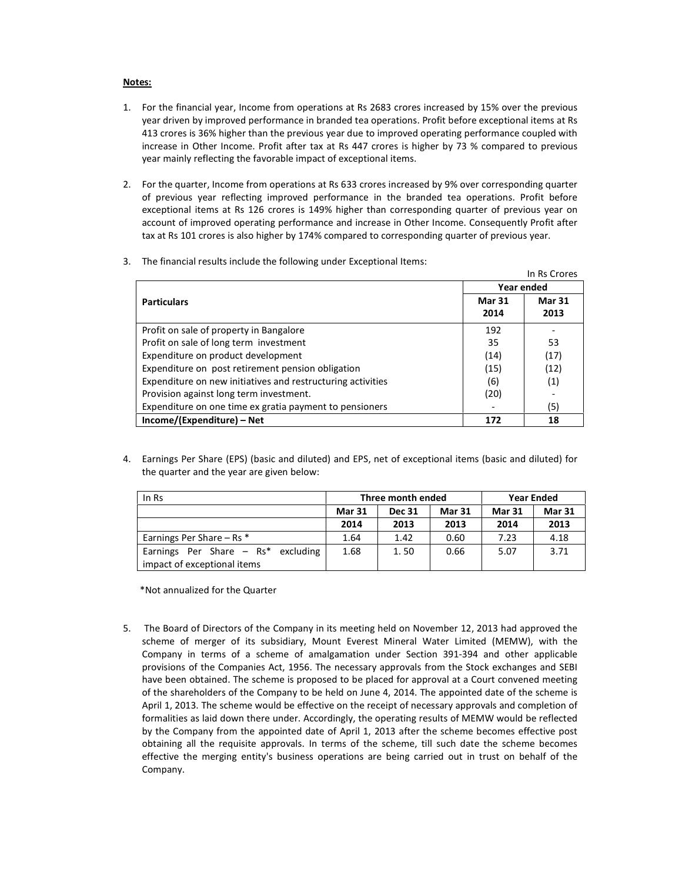#### Notes:

- 1. For the financial year, Income from operations at Rs 2683 crores increased by 15% over the previous year driven by improved performance in branded tea operations. Profit before exceptional items at Rs 413 crores is 36% higher than the previous year due to improved operating performance coupled with increase in Other Income. Profit after tax at Rs 447 crores is higher by 73 % compared to previous year mainly reflecting the favorable impact of exceptional items.
- 2. For the quarter, Income from operations at Rs 633 crores increased by 9% over corresponding quarter of previous year reflecting improved performance in the branded tea operations. Profit before exceptional items at Rs 126 crores is 149% higher than corresponding quarter of previous year on account of improved operating performance and increase in Other Income. Consequently Profit after tax at Rs 101 crores is also higher by 174% compared to corresponding quarter of previous year.

| 3. |  |  |  |  |  |  | The financial results include the following under Exceptional Items: |  |
|----|--|--|--|--|--|--|----------------------------------------------------------------------|--|
|----|--|--|--|--|--|--|----------------------------------------------------------------------|--|

|                                                             |            | In Rs Crores  |  |
|-------------------------------------------------------------|------------|---------------|--|
|                                                             | Year ended |               |  |
| <b>Particulars</b>                                          |            | <b>Mar 31</b> |  |
|                                                             | 2014       | 2013          |  |
| Profit on sale of property in Bangalore                     | 192        |               |  |
| Profit on sale of long term investment                      | 35         | 53            |  |
| Expenditure on product development                          | (14)       | (17)          |  |
| Expenditure on post retirement pension obligation           | (15)       | (12)          |  |
| Expenditure on new initiatives and restructuring activities | (6)        | (1)           |  |
| Provision against long term investment.                     | (20)       |               |  |
| Expenditure on one time ex gratia payment to pensioners     |            | (5)           |  |
| Income/(Expenditure) – Net                                  | 172        | 18            |  |

4. Earnings Per Share (EPS) (basic and diluted) and EPS, net of exceptional items (basic and diluted) for the quarter and the year are given below:

| In Rs                                |               | Three month ended | <b>Year Ended</b> |               |               |
|--------------------------------------|---------------|-------------------|-------------------|---------------|---------------|
|                                      | <b>Mar 31</b> | <b>Dec 31</b>     | <b>Mar 31</b>     | <b>Mar 31</b> | <b>Mar 31</b> |
|                                      | 2014          | 2013              | 2013              | 2014          | 2013          |
| Earnings Per Share $-$ Rs $*$        | 1.64          | 1.42              | 0.60              | 7.23          | 4.18          |
| Earnings Per Share $-$ Rs* excluding | 1.68          | 1.50              | 0.66              | 5.07          | 3.71          |
| impact of exceptional items          |               |                   |                   |               |               |

\*Not annualized for the Quarter

5. The Board of Directors of the Company in its meeting held on November 12, 2013 had approved the scheme of merger of its subsidiary, Mount Everest Mineral Water Limited (MEMW), with the Company in terms of a scheme of amalgamation under Section 391-394 and other applicable provisions of the Companies Act, 1956. The necessary approvals from the Stock exchanges and SEBI have been obtained. The scheme is proposed to be placed for approval at a Court convened meeting of the shareholders of the Company to be held on June 4, 2014. The appointed date of the scheme is April 1, 2013. The scheme would be effective on the receipt of necessary approvals and completion of formalities as laid down there under. Accordingly, the operating results of MEMW would be reflected by the Company from the appointed date of April 1, 2013 after the scheme becomes effective post obtaining all the requisite approvals. In terms of the scheme, till such date the scheme becomes effective the merging entity's business operations are being carried out in trust on behalf of the Company.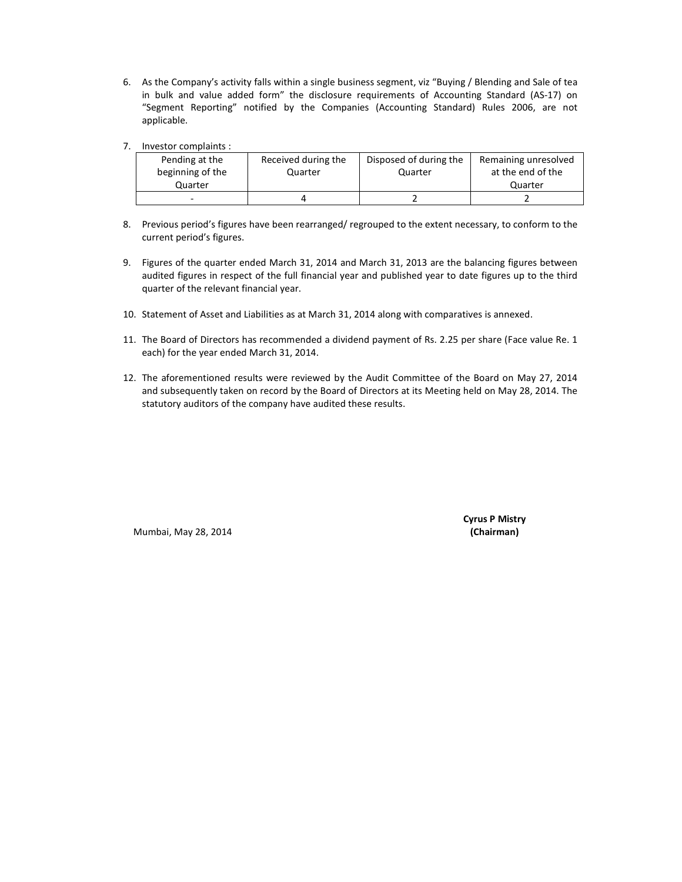- 6. As the Company's activity falls within a single business segment, viz "Buying / Blending and Sale of tea in bulk and value added form" the disclosure requirements of Accounting Standard (AS-17) on "Segment Reporting" notified by the Companies (Accounting Standard) Rules 2006, are not applicable.
- 7. Investor complaints :

| Pending at the   | Received during the | Disposed of during the | Remaining unresolved |
|------------------|---------------------|------------------------|----------------------|
| beginning of the | Quarter             | Quarter                | at the end of the    |
| Quarter          |                     |                        | Quarter              |
|                  |                     |                        |                      |

- 8. Previous period's figures have been rearranged/ regrouped to the extent necessary, to conform to the current period's figures.
- 9. Figures of the quarter ended March 31, 2014 and March 31, 2013 are the balancing figures between audited figures in respect of the full financial year and published year to date figures up to the third quarter of the relevant financial year.
- 10. Statement of Asset and Liabilities as at March 31, 2014 along with comparatives is annexed.
- 11. The Board of Directors has recommended a dividend payment of Rs. 2.25 per share (Face value Re. 1 each) for the year ended March 31, 2014.
- 12. The aforementioned results were reviewed by the Audit Committee of the Board on May 27, 2014 and subsequently taken on record by the Board of Directors at its Meeting held on May 28, 2014. The statutory auditors of the company have audited these results.

Mumbai, May 28, 2014 (Chairman)

Cyrus P Mistry